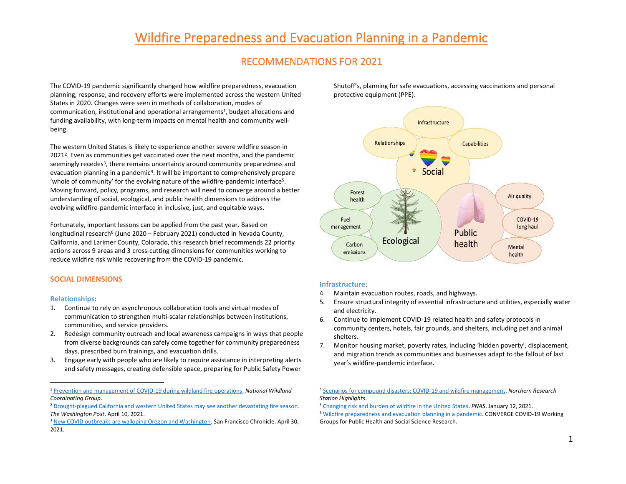# [Wildfire Preparedness and Evacuation Planning in a Pandemic](https://wildfirepandemic.wixsite.com/workinggroup)

# RECOMMENDATIONS FOR 2021

The COVID-19 pandemic significantly changed how wildfire preparedness, evacuation planning, response, and recovery efforts were implemented across the western United States in 2020. Changes were seen in methods of collaboration, modes of communication, institutional and operational arrangements<sup>1</sup>, budget allocations and funding availability, with long-term impacts on mental health and community wellbeing.

The western United States is likely to experience another severe wildfire season in 20212. Even as communities get vaccinated over the next months, and the pandemic seemingly recedes<sup>3</sup>, there remains uncertainty around community preparedness and evacuation planning in a pandemic4. It will be important to comprehensively prepare 'whole of community' for the evolving nature of the wildfire-pandemic interface5. Moving forward, policy, programs, and research will need to converge around a better understanding of social, ecological, and public health dimensions to address the evolving wildfire-pandemic interface in inclusive, just, and equitable ways.

Fortunately, important lessons can be applied from the past year. Based on longitudinal research<sup>6</sup> (June 2020 – February 2021) conducted in Nevada County, California, and Larimer County, Colorado, this research brief recommends 22 priority actions across 9 areas and 3 cross-cutting dimensions for communities working to reduce wildfire risk while recovering from the COVID-19 pandemic.

# **SOCIAL DIMENSIONS**

#### **Relationships**:

- 1. Continue to rely on asynchronous collaboration tools and virtual modes of communication to strengthen multi-scalar relationships between institutions, communities, and service providers.
- 2. Redesign community outreach and local awareness campaigns in ways that people from diverse backgrounds can safely come together for community preparedness days, prescribed burn trainings, and evacuation drills.
- 3. Engage early with people who are likely to require assistance in interpreting alerts and safety messages, creating defensible space, preparing for Public Safety Power

Shutoff's, planning for safe evacuations, accessing vaccinations and personal protective equipment (PPE).



#### **Infrastructure**:

- 4. Maintain evacuation routes, roads, and highways.
- 5. Ensure structural integrity of essential infrastructure and utilities, especially water and electricity.
- 6. Continue to implement COVID-19 related health and safety protocols in community centers, hotels, fair grounds, and shelters, including pet and animal shelters.
- 7. Monitor housing market, poverty rates, including 'hidden poverty', displacement, and migration trends as communities and businesses adapt to the fallout of last year's wildfire-pandemic interface.

<sup>4</sup> [Scenarios for compound disasters: COVID-19 and wildfire management.](https://www.fs.fed.us/nrs/highlights/474) *Northern Research Station Highlights*.<br><sup>5</sup> [Changing risk and burden of wildfire in the United States.](https://www.pnas.org/content/118/2/e2011048118) *PNAS*. January 12, 2021.

<sup>6</sup> [Wildfire preparedness and evacuation planning in a pandemic.](https://wildfirepandemic.wixsite.com/workinggroup) CONVERGE COVID-19 Working Groups for Public Health and Social Science Research.

<sup>1</sup> [Prevention and management of COVID-19 during wildland fire operations.](https://www.nwcg.gov/sites/default/files/docs/prevent-manage-covid19-wildland-fire-opps.pdf) *National Wildland*  **Coordinating Group.**<br><sup>2</sup> [Drought-plagued California and western United States may see another devastating fire season.](https://www.washingtonpost.com/weather/2021/04/10/drought-wildfires-california-west/)

*The Washington Post.* April 10, 2021.<br><sup>3</sup> [New COVID outbreaks are walloping Oregon and Washington.](https://www.sfchronicle.com/local/article/As-COVID-cases-fall-in-California-new-outbreaks-16142794.php?utm_source=newsletter&utm_medium=email&utm_campaign=sfc_coronavirus&sid=5b187f84cdb7ec41ed3aa95b) San Francisco Chronicle. April 30,

<sup>2021.</sup>